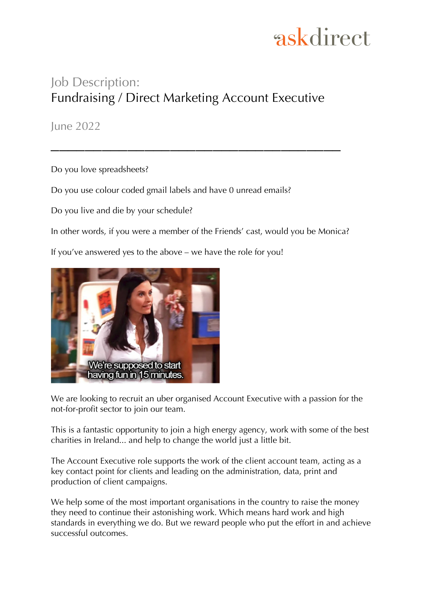### Job Description: Fundraising / Direct Marketing Account Executive

 $\mathcal{L}=\{1,2,3,4\}$  , we can assume that  $\mathcal{L}=\{1,2,3,4\}$  , we can assume that  $\mathcal{L}=\{1,2,3,4\}$ 

June 2022

Do you love spreadsheets?

Do you use colour coded gmail labels and have 0 unread emails?

Do you live and die by your schedule?

In other words, if you were a member of the Friends' cast, would you be Monica?

If you've answered yes to the above – we have the role for you!



We are looking to recruit an uber organised Account Executive with a passion for the not-for-profit sector to join our team.

This is a fantastic opportunity to join a high energy agency, work with some of the best charities in Ireland... and help to change the world just a little bit.

The Account Executive role supports the work of the client account team, acting as a key contact point for clients and leading on the administration, data, print and production of client campaigns.

We help some of the most important organisations in the country to raise the money they need to continue their astonishing work. Which means hard work and high standards in everything we do. But we reward people who put the effort in and achieve successful outcomes.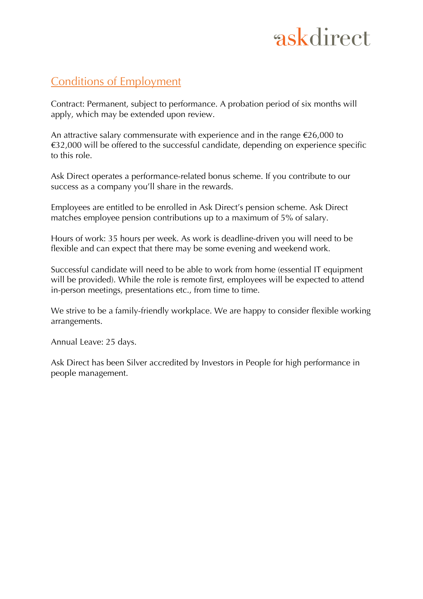### Conditions of Employment

Contract: Permanent, subject to performance. A probation period of six months will apply, which may be extended upon review.

An attractive salary commensurate with experience and in the range  $\epsilon$ 26,000 to  $€32,000$  will be offered to the successful candidate, depending on experience specific to this role.

Ask Direct operates a performance-related bonus scheme. If you contribute to our success as a company you'll share in the rewards.

Employees are entitled to be enrolled in Ask Direct's pension scheme. Ask Direct matches employee pension contributions up to a maximum of 5% of salary.

Hours of work: 35 hours per week. As work is deadline-driven you will need to be flexible and can expect that there may be some evening and weekend work.

Successful candidate will need to be able to work from home (essential IT equipment will be provided). While the role is remote first, employees will be expected to attend in-person meetings, presentations etc., from time to time.

We strive to be a family-friendly workplace. We are happy to consider flexible working arrangements.

Annual Leave: 25 days.

Ask Direct has been Silver accredited by Investors in People for high performance in people management.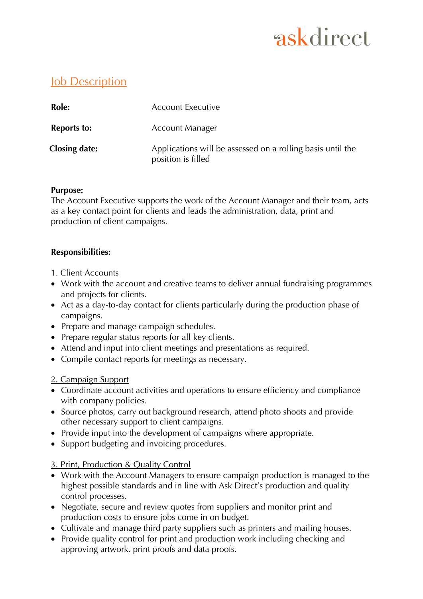### Job Description

| Role:                | <b>Account Executive</b>                                                         |
|----------------------|----------------------------------------------------------------------------------|
| <b>Reports to:</b>   | <b>Account Manager</b>                                                           |
| <b>Closing date:</b> | Applications will be assessed on a rolling basis until the<br>position is filled |

#### **Purpose:**

The Account Executive supports the work of the Account Manager and their team, acts as a key contact point for clients and leads the administration, data, print and production of client campaigns.

#### **Responsibilities:**

- 1. Client Accounts
- Work with the account and creative teams to deliver annual fundraising programmes and projects for clients.
- Act as a day-to-day contact for clients particularly during the production phase of campaigns.
- Prepare and manage campaign schedules.
- Prepare regular status reports for all key clients.
- Attend and input into client meetings and presentations as required.
- Compile contact reports for meetings as necessary.

#### 2. Campaign Support

- Coordinate account activities and operations to ensure efficiency and compliance with company policies.
- Source photos, carry out background research, attend photo shoots and provide other necessary support to client campaigns.
- Provide input into the development of campaigns where appropriate.
- Support budgeting and invoicing procedures.

#### 3. Print, Production & Quality Control

- Work with the Account Managers to ensure campaign production is managed to the highest possible standards and in line with Ask Direct's production and quality control processes.
- Negotiate, secure and review quotes from suppliers and monitor print and production costs to ensure jobs come in on budget.
- Cultivate and manage third party suppliers such as printers and mailing houses.
- Provide quality control for print and production work including checking and approving artwork, print proofs and data proofs.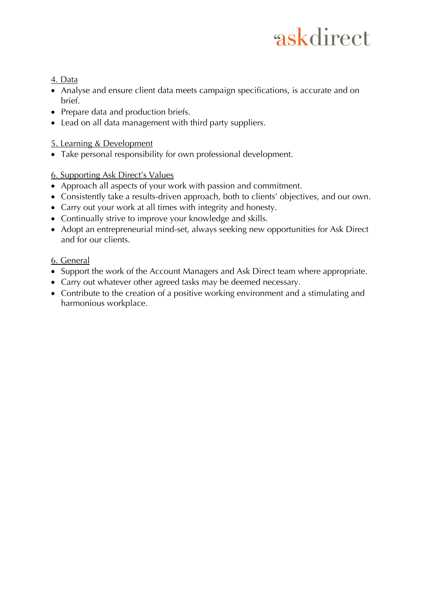#### 4. Data

- Analyse and ensure client data meets campaign specifications, is accurate and on brief.
- Prepare data and production briefs.
- Lead on all data management with third party suppliers.

#### 5. Learning & Development

• Take personal responsibility for own professional development.

#### 6. Supporting Ask Direct's Values

- Approach all aspects of your work with passion and commitment.
- Consistently take a results-driven approach, both to clients' objectives, and our own.
- Carry out your work at all times with integrity and honesty.
- Continually strive to improve your knowledge and skills.
- Adopt an entrepreneurial mind-set, always seeking new opportunities for Ask Direct and for our clients.

#### 6. General

- Support the work of the Account Managers and Ask Direct team where appropriate.
- Carry out whatever other agreed tasks may be deemed necessary.
- Contribute to the creation of a positive working environment and a stimulating and harmonious workplace.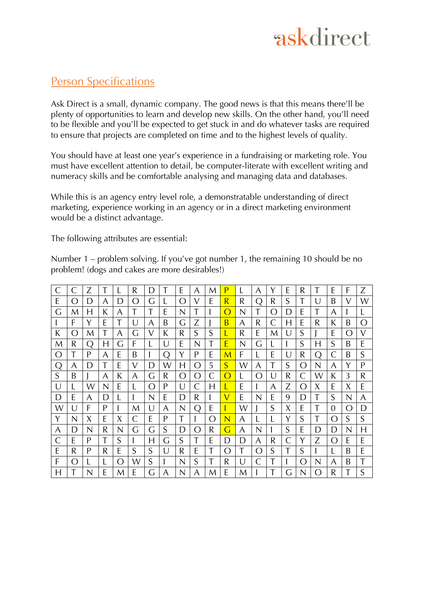### Person Specifications

Ask Direct is a small, dynamic company. The good news is that this means there'll be plenty of opportunities to learn and develop new skills. On the other hand, you'll need to be flexible and you'll be expected to get stuck in and do whatever tasks are required to ensure that projects are completed on time and to the highest levels of quality.

You should have at least one year's experience in a fundraising or marketing role. You must have excellent attention to detail, be computer-literate with excellent writing and numeracy skills and be comfortable analysing and managing data and databases.

While this is an agency entry level role, a demonstratable understanding of direct marketing, experience working in an agency or in a direct marketing environment would be a distinct advantage.

The following attributes are essential:

Number 1 – problem solving. If you've got number 1, the remaining 10 should be no problem! (dogs and cakes are more desirables!)

| $\subset$        |     | 7                |   |                  | R | D |    | E                | A                | M  | P                |   | A               | Y          | E | R                |            | E   | F               | Z                |
|------------------|-----|------------------|---|------------------|---|---|----|------------------|------------------|----|------------------|---|-----------------|------------|---|------------------|------------|-----|-----------------|------------------|
| E                | ( ) | D                | A | D                | ∩ | G |    | ∩                | $\sqrt{}$        | E  | $\overline{R}$   | R | ∩               | R          | S | T                | U          | B   | V               | W                |
| G                | M   | H                | К | A                | T |   | E  | N                |                  |    | $\bigcap$        | N |                 | $\bigcirc$ | D | E                | T          | A   |                 | L                |
|                  | F   | Y                | F | T                | U | A | B  | G                | Z                |    | B                | A | R               | C          | H | E                | R          | К   | B               | $\left( \right)$ |
| К                | ()  | M                | T | A                | G | V | К  | R                | S                | S  |                  | R | E               | M          |   | S                |            | E   | $\left(\right)$ | V                |
| M                | R   | $\left( \right)$ | H | G                | F |   | U  | E                | N                |    | E                | N | G               |            |   | S                | H          | S   | B               | E                |
| $\left( \right)$ |     | P                | A | E                | B |   | () | Y                | P                | Е  | M                | F |                 | E          | U | R                | 〔 〕        | €   | B               | S                |
| $\left( \right)$ | A   | $\Box$           | T | E                | V | D | W  | H                | $\left( \right)$ | 5  | S                | W | A               | T          | S | $\left( \right)$ | N          | A   | Y               | P                |
| S                | B   |                  | A | К                | A | G | R  | $\left( \right)$ | $\left( \right)$ | C  | $\left( \right)$ |   | Ω               | U          | R | C                | W          | K   | 3               | R                |
| U                |     | W                | N | E                |   | Ω | P  | U                | $\mathsf{C}$     | H  |                  | E |                 | A          | Z | Ω                | X          | E   | X               | E                |
| D                | E   | A                | D |                  |   | N | E  | D                | R                |    | V                | E | N               | E          | 9 | D                | T          | S   | N               | A                |
| W                | U   | F                | P |                  | M | U | A  | N                | ( )              | E  |                  | W |                 | S          | X | Е                | T          | 0   | ()              | D                |
| Y                | N   | X                | F | X                | C | E | P  | T                |                  | () | N                | A |                 |            | Y | S                |            | ( ) | S               | S                |
| A                | D   | N                | R | N                | G | G | S  | D                | $\bigcap$        | R  | G                | A | N               |            | S | E                | D          | D   | N               | H                |
| C                | E   | P                | T | S                |   | H | G  | S                |                  | E  | D                | D | A               | R          | C | Y                | Z          | ()  | E               | E                |
| E                | R   | P                | R | E                | S | S | U  | R                | E                | T  | $\left( \right)$ | T | $\left(\right)$ | S          |   | S                |            |     | B               | E                |
| F                | ( ) |                  |   | $\left( \right)$ | W | S |    | N                | S                |    | R                | U | С               |            |   | $\bigcap$        | N          | A   | B               | T                |
| H                |     |                  | E | M                | E | G | A  | N                | A                | M  | E                | M |                 |            | G | N                | $\bigcirc$ | R   |                 | S                |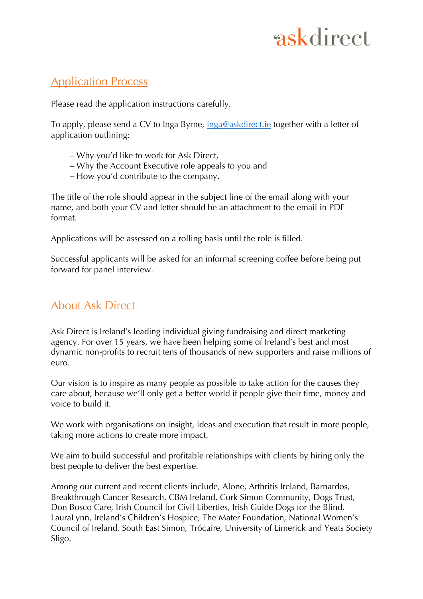### Application Process

Please read the application instructions carefully.

To apply, please send a CV to Inga Byrne, inga@askdirect.ie together with a letter of application outlining:

- Why you'd like to work for Ask Direct,
- Why the Account Executive role appeals to you and
- How you'd contribute to the company.

The title of the role should appear in the subject line of the email along with your name, and both your CV and letter should be an attachment to the email in PDF format.

Applications will be assessed on a rolling basis until the role is filled.

Successful applicants will be asked for an informal screening coffee before being put forward for panel interview.

### About Ask Direct

Ask Direct is Ireland's leading individual giving fundraising and direct marketing agency. For over 15 years, we have been helping some of Ireland's best and most dynamic non-profits to recruit tens of thousands of new supporters and raise millions of euro.

Our vision is to inspire as many people as possible to take action for the causes they care about, because we'll only get a better world if people give their time, money and voice to build it.

We work with organisations on insight, ideas and execution that result in more people, taking more actions to create more impact.

We aim to build successful and profitable relationships with clients by hiring only the best people to deliver the best expertise.

Among our current and recent clients include, Alone, Arthritis Ireland, Barnardos, Breakthrough Cancer Research, CBM Ireland, Cork Simon Community, Dogs Trust, Don Bosco Care, Irish Council for Civil Liberties, Irish Guide Dogs for the Blind, LauraLynn, Ireland's Children's Hospice, The Mater Foundation, National Women's Council of Ireland, South East Simon, Trócaire, University of Limerick and Yeats Society Sligo.